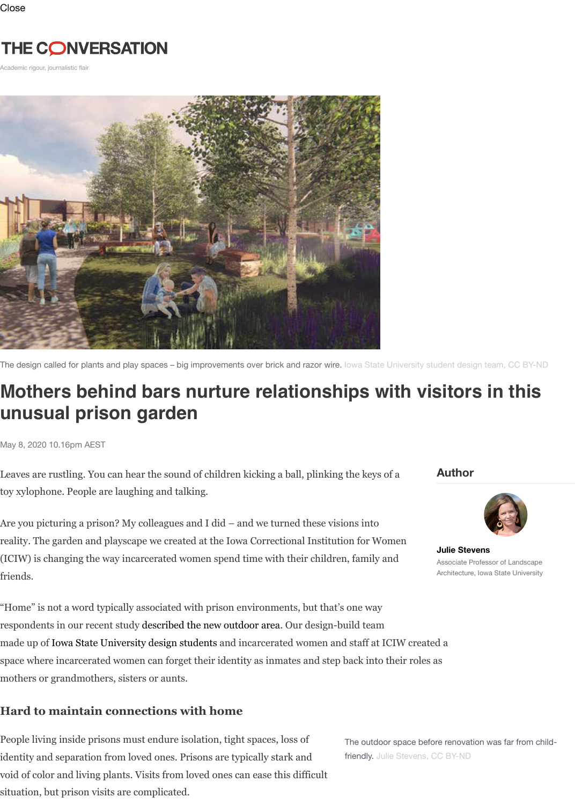

The design called for plants and play spaces – big improvements over brick and razor wire. Iowa State University student des

## **Mothers behind bars nurture relationships with visitor unusual prison garden**

May 8, 2020 10.16pm AEST

Leaves are rustling. You can hear the sound of children kicking a ball, plinking the keys of a toy xylophone. People are laughing and talking.

Are you picturing a prison? My colleagues and I did – and we turned these visions into reality. The garden and playscape we created at the Iowa Correctional Institution for Women (ICIW) is changing the way incarcerated women spend time with their children, family and friends.

"Home" is not a word typically associated with prison environments, but that's one way respondents in our recent study described the new outdoor area. Our design-build team made up of Iowa State University design students and incarcerated women and staff at ICIW created a space where incarcerated women can forget their identity as inmates and step back into their roles as mothers or grandmothers, sisters or aunts.

## **Hard to maintain connections with home**

People living inside prisons must endure isolation, tight spaces, loss of identity and separation from loved ones. Prisons are typically stark and void of color and living plants. Visits from loved ones can ease this difficult situation, but prison visits are complicated.

The outdoor space before renovation friendly. Julie Stevens, CC BY-ND

**Author** 

**Julie Ste** Associate Architectu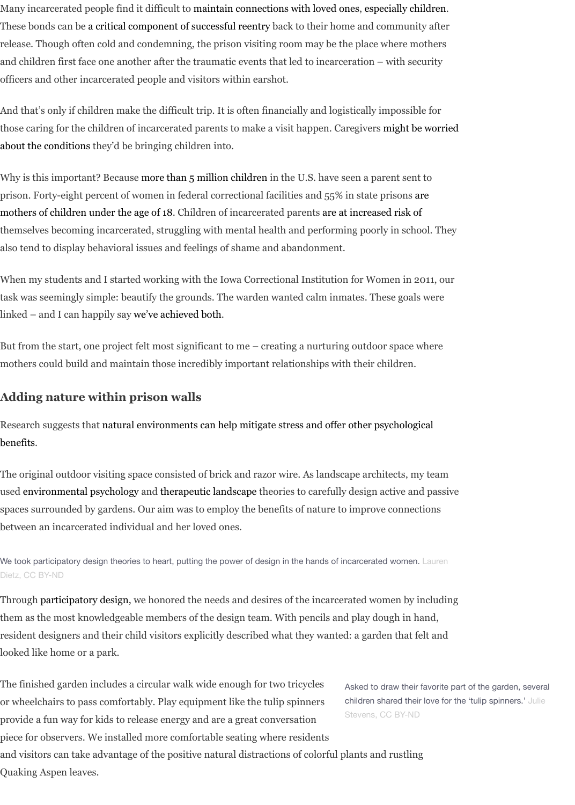prison. Forty-eight percent of women in federal correctional facilities and 55% in state prisons are mothers of children under the age of 18. Chi[ldren of incarcerated parents are at inc](https://doi.org/10.1007/978-3-319-16625-4)[reased risk of](https://www.urban.org/sites/default/files/publication/89601/parent-child_visiting_practices_in_prisons_and_jails.pdf) themselves becomi[ng incarcerated, struggling with mental hea](https://doi.org/10.1037/a0020279)lth and performing poorly in school. They also tend to display behavioral issues and feelings of shame and abandonment.

When my students and I started working with the Iowa Correctional Institution for Women in 2011, our task was seemingly simple: beautify the grounds. The warden wanted calm inmates. These goals were linked – and I can happily say we've achieved both.

[But from the start, one project felt most significant to me – creating a nurturing outdoor space where](https://doi.org/10.1177/0093854815613528) mothers could build and maintain those incredibly important relationships with their children.

## **[Adding nature within prison walls](https://www.aecf.org/resources/a-shared-sentence/)**

Research suggests that natural environments can help mitigate stress and offer other psychological benefits.

The original outdoor visiting space consisted of brick and razor wire. As landscape architects, my team used environmental psychology and therapeutic landscape theories to carefully design active and passive spaces surrounded by gardens[. Our aim was to emp](https://doi.org/10.3368/lj.37.1.55)loy the benefits of nature to improve connections between an incarcerated individual and her loved ones.

We took participatory design theories to heart, putting the power of design in the hands of incarcerated women. Lauren Dietz, CC BY-ND

Through participatory design, we honored the needs and desires of the incarcerated women by including them as the most know[ledgeable members of the](https://doi.org/10.1016/0272-4944(95)90001-2) [design team. With penci](https://plantsolutions.com/documents/HealthSettingsUlrich.pdf)ls and play dough in hand, [resident designers and their child visitors explicitly described what they wanted: a garden that felt a](https://doi.org/10.3390/ijerph15122668)nd looked like home or a park.

The f[inished garden includes a c](https://doi.org/10.1177/0013916589215001)ircu[lar walk wide enough f](https://www.workman.com/products/therapeutic-gardens)or two tricycles or wheelchairs to pass comfortably. Play equipment like the tulip spinners provide a fun way for kids to release energy and are a great conversation piece for observers. We installed more comfortable seating where residents and visitors can take advantage of the positive natural distractions of colorful plants and rustling Quak[ing Aspen](http://creativecommons.org/licenses/by-nd/4.0/) leaves.

Asked to draw their favorite part children shared their love for the Stevens, CC BY-ND